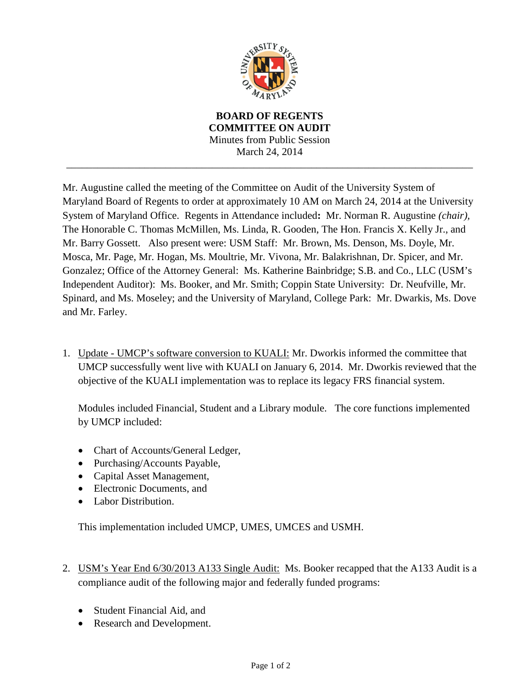

**BOARD OF REGENTS COMMITTEE ON AUDIT** Minutes from Public Session March 24, 2014

\_\_\_\_\_\_\_\_\_\_\_\_\_\_\_\_\_\_\_\_\_\_\_\_\_\_\_\_\_\_\_\_\_\_\_\_\_\_\_\_\_\_\_\_\_\_\_\_\_\_\_\_\_\_\_\_\_\_\_\_\_\_\_\_\_\_\_\_\_\_\_\_\_\_\_\_\_\_

Mr. Augustine called the meeting of the Committee on Audit of the University System of Maryland Board of Regents to order at approximately 10 AM on March 24, 2014 at the University System of Maryland Office. Regents in Attendance included**:** Mr. Norman R. Augustine *(chair),*  The Honorable C. Thomas McMillen, Ms. Linda, R. Gooden, The Hon. Francis X. Kelly Jr., and Mr. Barry Gossett. Also present were: USM Staff: Mr. Brown, Ms. Denson, Ms. Doyle, Mr. Mosca, Mr. Page, Mr. Hogan, Ms. Moultrie, Mr. Vivona, Mr. Balakrishnan, Dr. Spicer, and Mr. Gonzalez; Office of the Attorney General: Ms. Katherine Bainbridge; S.B. and Co., LLC (USM's Independent Auditor): Ms. Booker, and Mr. Smith; Coppin State University: Dr. Neufville, Mr. Spinard, and Ms. Moseley; and the University of Maryland, College Park: Mr. Dwarkis, Ms. Dove and Mr. Farley.

1. Update - UMCP's software conversion to KUALI: Mr. Dworkis informed the committee that UMCP successfully went live with KUALI on January 6, 2014. Mr. Dworkis reviewed that the objective of the KUALI implementation was to replace its legacy FRS financial system.

Modules included Financial, Student and a Library module. The core functions implemented by UMCP included:

- Chart of Accounts/General Ledger,
- Purchasing/Accounts Payable,
- Capital Asset Management,
- Electronic Documents, and
- Labor Distribution.

This implementation included UMCP, UMES, UMCES and USMH.

- 2. USM's Year End 6/30/2013 A133 Single Audit: Ms. Booker recapped that the A133 Audit is a compliance audit of the following major and federally funded programs:
	- Student Financial Aid, and
	- Research and Development.